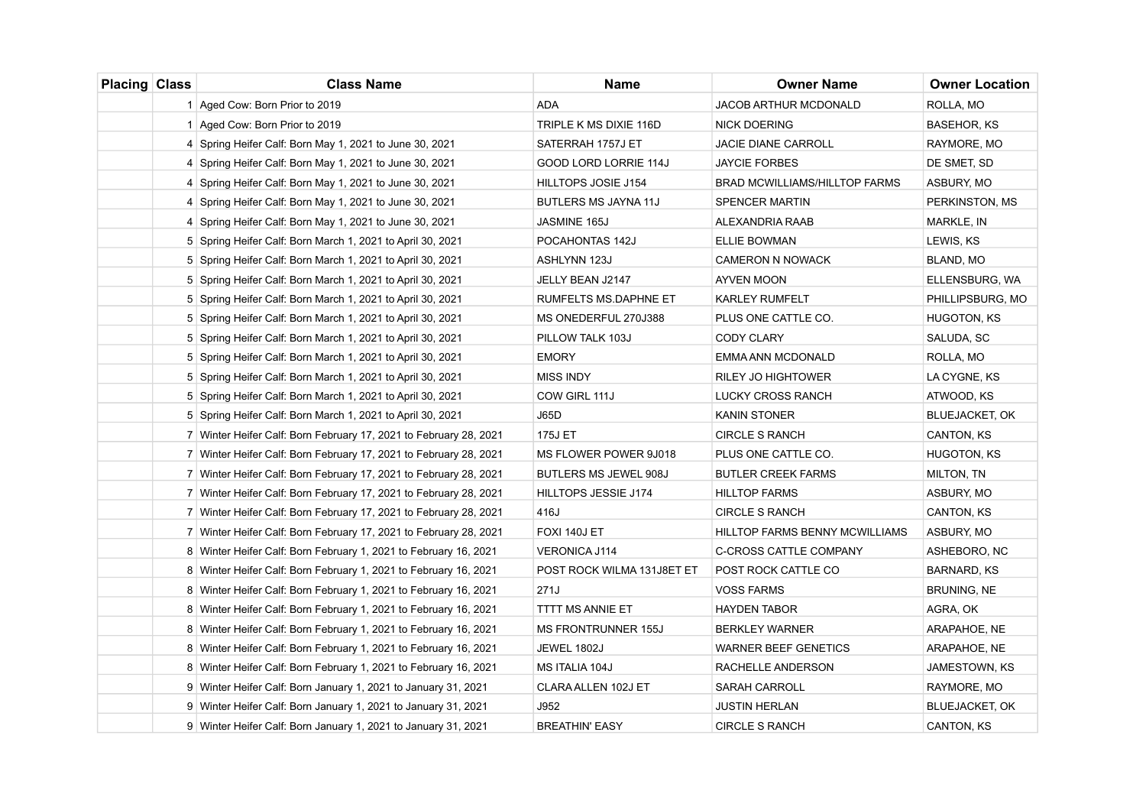| Placing Class | <b>Class Name</b>                                                 | <b>Name</b>                | <b>Owner Name</b>              | <b>Owner Location</b> |
|---------------|-------------------------------------------------------------------|----------------------------|--------------------------------|-----------------------|
|               | 1 Aged Cow: Born Prior to 2019                                    | ADA                        | JACOB ARTHUR MCDONALD          | ROLLA, MO             |
|               | 1 Aged Cow: Born Prior to 2019                                    | TRIPLE K MS DIXIE 116D     | <b>NICK DOERING</b>            | <b>BASEHOR, KS</b>    |
|               | 4 Spring Heifer Calf: Born May 1, 2021 to June 30, 2021           | SATERRAH 1757J ET          | <b>JACIE DIANE CARROLL</b>     | RAYMORE, MO           |
|               | 4 Spring Heifer Calf: Born May 1, 2021 to June 30, 2021           | GOOD LORD LORRIE 114J      | <b>JAYCIE FORBES</b>           | DE SMET, SD           |
|               | 4 Spring Heifer Calf: Born May 1, 2021 to June 30, 2021           | HILLTOPS JOSIE J154        | BRAD MCWILLIAMS/HILLTOP FARMS  | ASBURY, MO            |
|               | 4 Spring Heifer Calf: Born May 1, 2021 to June 30, 2021           | BUTLERS MS JAYNA 11J       | <b>SPENCER MARTIN</b>          | PERKINSTON, MS        |
|               | 4 Spring Heifer Calf: Born May 1, 2021 to June 30, 2021           | JASMINE 165J               | ALEXANDRIA RAAB                | <b>MARKLE, IN</b>     |
|               | 5 Spring Heifer Calf: Born March 1, 2021 to April 30, 2021        | POCAHONTAS 142J            | ELLIE BOWMAN                   | LEWIS, KS             |
|               | 5 Spring Heifer Calf: Born March 1, 2021 to April 30, 2021        | ASHLYNN 123J               | <b>CAMERON N NOWACK</b>        | BLAND, MO             |
|               | 5 Spring Heifer Calf: Born March 1, 2021 to April 30, 2021        | JELLY BEAN J2147           | <b>AYVEN MOON</b>              | ELLENSBURG, WA        |
|               | 5 Spring Heifer Calf: Born March 1, 2021 to April 30, 2021        | RUMFELTS MS.DAPHNE ET      | <b>KARLEY RUMFELT</b>          | PHILLIPSBURG, MO      |
|               | 5 Spring Heifer Calf: Born March 1, 2021 to April 30, 2021        | MS ONEDERFUL 270J388       | PLUS ONE CATTLE CO.            | HUGOTON, KS           |
|               | 5 Spring Heifer Calf: Born March 1, 2021 to April 30, 2021        | PILLOW TALK 103J           | CODY CLARY                     | SALUDA, SC            |
|               | 5 Spring Heifer Calf: Born March 1, 2021 to April 30, 2021        | <b>EMORY</b>               | EMMA ANN MCDONALD              | ROLLA, MO             |
|               | 5 Spring Heifer Calf: Born March 1, 2021 to April 30, 2021        | <b>MISS INDY</b>           | <b>RILEY JO HIGHTOWER</b>      | LA CYGNE, KS          |
|               | 5 Spring Heifer Calf: Born March 1, 2021 to April 30, 2021        | COW GIRL 111J              | LUCKY CROSS RANCH              | ATWOOD, KS            |
|               | 5 Spring Heifer Calf: Born March 1, 2021 to April 30, 2021        | <b>J65D</b>                | KANIN STONER                   | <b>BLUEJACKET, OK</b> |
|               | 7 Winter Heifer Calf: Born February 17, 2021 to February 28, 2021 | 175J ET                    | <b>CIRCLE S RANCH</b>          | CANTON, KS            |
|               | 7 Winter Heifer Calf: Born February 17, 2021 to February 28, 2021 | MS FLOWER POWER 9J018      | PLUS ONE CATTLE CO.            | HUGOTON, KS           |
|               | 7 Winter Heifer Calf: Born February 17, 2021 to February 28, 2021 | BUTLERS MS JEWEL 908J      | <b>BUTLER CREEK FARMS</b>      | MILTON, TN            |
|               | 7 Winter Heifer Calf: Born February 17, 2021 to February 28, 2021 | HILLTOPS JESSIE J174       | <b>HILLTOP FARMS</b>           | ASBURY, MO            |
|               | 7 Winter Heifer Calf: Born February 17, 2021 to February 28, 2021 | 416J                       | <b>CIRCLE S RANCH</b>          | CANTON, KS            |
|               | 7 Winter Heifer Calf: Born February 17, 2021 to February 28, 2021 | FOXI 140J ET               | HILLTOP FARMS BENNY MCWILLIAMS | ASBURY, MO            |
|               | 8 Winter Heifer Calf: Born February 1, 2021 to February 16, 2021  | <b>VERONICA J114</b>       | <b>C-CROSS CATTLE COMPANY</b>  | ASHEBORO, NC          |
|               | 8 Winter Heifer Calf: Born February 1, 2021 to February 16, 2021  | POST ROCK WILMA 131J8ET ET | POST ROCK CATTLE CO            | BARNARD, KS           |
|               | 8 Winter Heifer Calf: Born February 1, 2021 to February 16, 2021  | 271J                       | <b>VOSS FARMS</b>              | BRUNING, NE           |
|               | 8 Winter Heifer Calf: Born February 1, 2021 to February 16, 2021  | TTTT MS ANNIE ET           | <b>HAYDEN TABOR</b>            | AGRA, OK              |
|               | 8 Winter Heifer Calf: Born February 1, 2021 to February 16, 2021  | <b>MS FRONTRUNNER 155J</b> | <b>BERKLEY WARNER</b>          | ARAPAHOE, NE          |
|               | 8 Winter Heifer Calf: Born February 1, 2021 to February 16, 2021  | JEWEL 1802J                | <b>WARNER BEEF GENETICS</b>    | ARAPAHOE, NE          |
|               | 8 Winter Heifer Calf: Born February 1, 2021 to February 16, 2021  | MS ITALIA 104J             | RACHELLE ANDERSON              | JAMESTOWN, KS         |
|               | 9 Winter Heifer Calf: Born January 1, 2021 to January 31, 2021    | CLARA ALLEN 102J ET        | SARAH CARROLL                  | RAYMORE, MO           |
|               | 9 Winter Heifer Calf: Born January 1, 2021 to January 31, 2021    | J952                       | <b>JUSTIN HERLAN</b>           | <b>BLUEJACKET, OK</b> |
|               | 9 Winter Heifer Calf: Born January 1, 2021 to January 31, 2021    | <b>BREATHIN' EASY</b>      | <b>CIRCLE S RANCH</b>          | <b>CANTON, KS</b>     |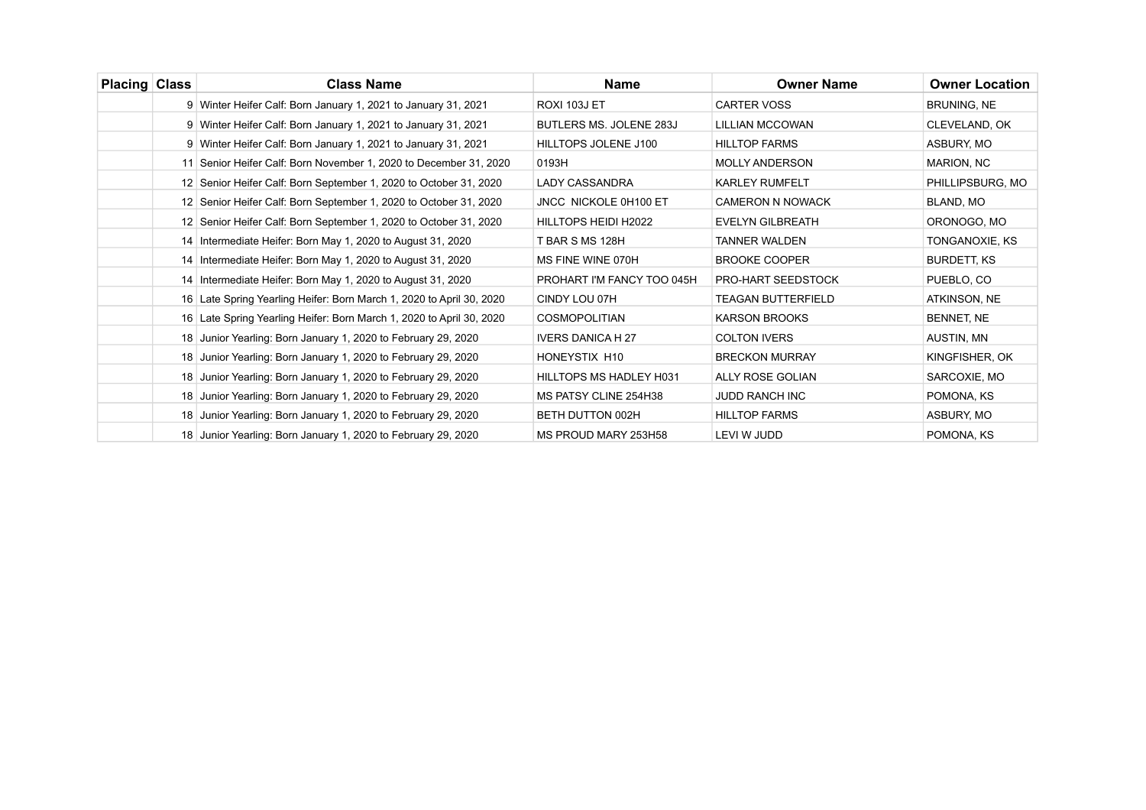| <b>Placing Class</b> | <b>Class Name</b>                                                    | Name                         | <b>Owner Name</b>         | <b>Owner Location</b> |
|----------------------|----------------------------------------------------------------------|------------------------------|---------------------------|-----------------------|
|                      | 9 Winter Heifer Calf: Born January 1, 2021 to January 31, 2021       | <b>ROXI 103J ET</b>          | <b>CARTER VOSS</b>        | BRUNING, NE           |
|                      | 9 Winter Heifer Calf: Born January 1, 2021 to January 31, 2021       | BUTLERS MS. JOLENE 283J      | <b>LILLIAN MCCOWAN</b>    | CLEVELAND, OK         |
|                      | 9 Winter Heifer Calf: Born January 1, 2021 to January 31, 2021       | HILLTOPS JOLENE J100         | <b>HILLTOP FARMS</b>      | ASBURY, MO            |
|                      | 11 Senior Heifer Calf: Born November 1, 2020 to December 31, 2020    | 0193H                        | <b>MOLLY ANDERSON</b>     | MARION, NC            |
|                      | 12 Senior Heifer Calf: Born September 1, 2020 to October 31, 2020    | LADY CASSANDRA               | <b>KARLEY RUMFELT</b>     | PHILLIPSBURG, MO      |
|                      | 12 Senior Heifer Calf: Born September 1, 2020 to October 31, 2020    | <b>JNCC NICKOLE 0H100 ET</b> | <b>CAMERON N NOWACK</b>   | BLAND, MO             |
|                      | 12 Senior Heifer Calf: Born September 1, 2020 to October 31, 2020    | <b>HILLTOPS HEIDI H2022</b>  | <b>EVELYN GILBREATH</b>   | ORONOGO, MO           |
|                      | 14 Intermediate Heifer: Born May 1, 2020 to August 31, 2020          | T BAR S MS 128H              | <b>TANNER WALDEN</b>      | TONGANOXIE, KS        |
|                      | 14 Intermediate Heifer: Born May 1, 2020 to August 31, 2020          | MS FINE WINE 070H            | <b>BROOKE COOPER</b>      | <b>BURDETT, KS</b>    |
|                      | 14 Intermediate Heifer: Born May 1, 2020 to August 31, 2020          | PROHART I'M FANCY TOO 045H   | <b>PRO-HART SEEDSTOCK</b> | PUEBLO, CO            |
|                      | 16 Late Spring Yearling Heifer: Born March 1, 2020 to April 30, 2020 | CINDY LOU 07H                | <b>TEAGAN BUTTERFIELD</b> | ATKINSON, NE          |
|                      | 16 Late Spring Yearling Heifer: Born March 1, 2020 to April 30, 2020 | <b>COSMOPOLITIAN</b>         | <b>KARSON BROOKS</b>      | BENNET, NE            |
|                      | 18 Junior Yearling: Born January 1, 2020 to February 29, 2020        | <b>IVERS DANICA H 27</b>     | <b>COLTON IVERS</b>       | AUSTIN, MN            |
|                      | 18 Junior Yearling: Born January 1, 2020 to February 29, 2020        | <b>HONEYSTIX H10</b>         | <b>BRECKON MURRAY</b>     | KINGFISHER, OK        |
|                      | 18 Junior Yearling: Born January 1, 2020 to February 29, 2020        | HILLTOPS MS HADLEY H031      | <b>ALLY ROSE GOLIAN</b>   | SARCOXIE, MO          |
|                      | 18 Junior Yearling: Born January 1, 2020 to February 29, 2020        | MS PATSY CLINE 254H38        | <b>JUDD RANCH INC</b>     | POMONA, KS            |
|                      | 18 Junior Yearling: Born January 1, 2020 to February 29, 2020        | BETH DUTTON 002H             | <b>HILLTOP FARMS</b>      | ASBURY, MO            |
|                      | 18 Junior Yearling: Born January 1, 2020 to February 29, 2020        | MS PROUD MARY 253H58         | LEVI W JUDD               | POMONA, KS            |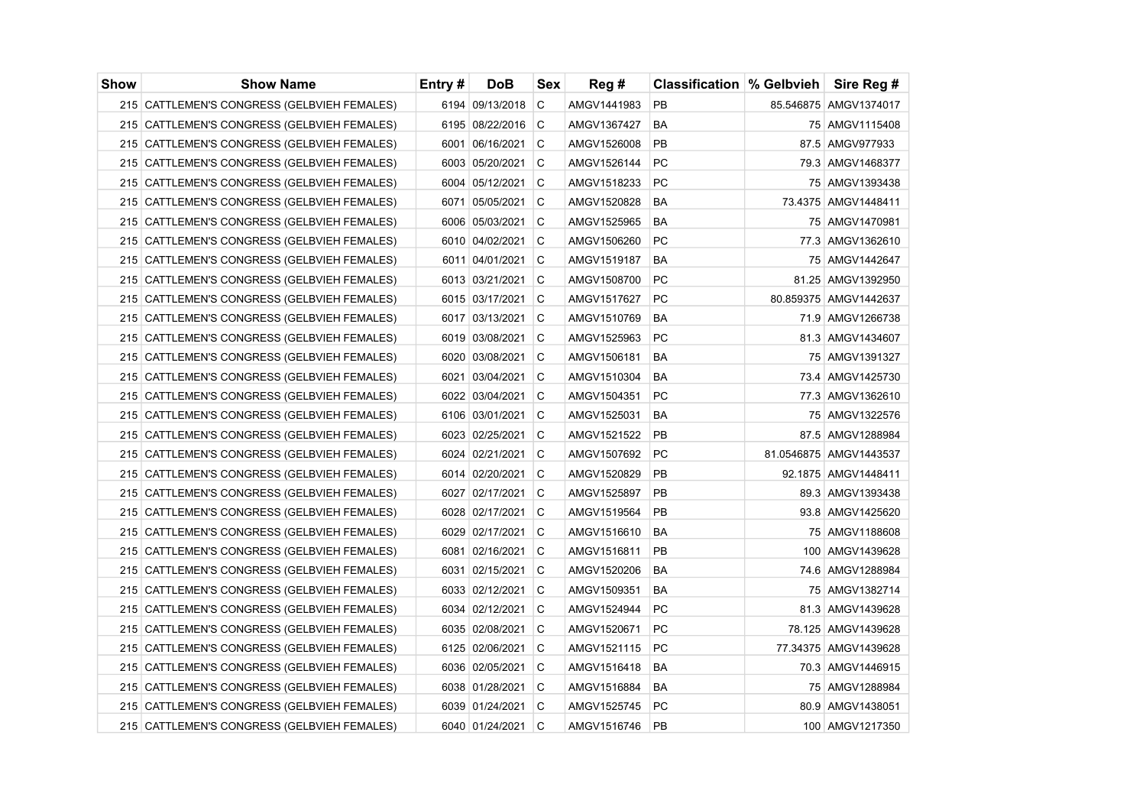| <b>Show</b> | <b>Show Name</b>                              | Entry# | <b>DoB</b>      | Sex | Reg #       | <b>Classification  % Gelbvieh  </b> | Sire Reg #             |
|-------------|-----------------------------------------------|--------|-----------------|-----|-------------|-------------------------------------|------------------------|
|             | 215 CATTLEMEN'S CONGRESS (GELBVIEH FEMALES)   |        | 6194 09/13/2018 | C   | AMGV1441983 | <b>PB</b>                           | 85.546875 AMGV1374017  |
|             | 215 CATTLEMEN'S CONGRESS (GELBVIEH FEMALES)   |        | 6195 08/22/2016 | l C | AMGV1367427 | <b>BA</b>                           | 75 AMGV1115408         |
|             | 215 CATTLEMEN'S CONGRESS (GELBVIEH FEMALES)   |        | 6001 06/16/2021 | C   | AMGV1526008 | PB                                  | 87.5 AMGV977933        |
|             | 215 CATTLEMEN'S CONGRESS (GELBVIEH FEMALES)   |        | 6003 05/20/2021 | C   | AMGV1526144 | PC                                  | 79.3 AMGV1468377       |
|             | 215 CATTLEMEN'S CONGRESS (GELBVIEH FEMALES)   |        | 6004 05/12/2021 | C   | AMGV1518233 | <b>PC</b>                           | 75 AMGV1393438         |
|             | 215 CATTLEMEN'S CONGRESS (GELBVIEH FEMALES)   |        | 6071 05/05/2021 | C   | AMGV1520828 | <b>BA</b>                           | 73.4375 AMGV1448411    |
|             | 215 CATTLEMEN'S CONGRESS (GELBVIEH FEMALES)   |        | 6006 05/03/2021 | C   | AMGV1525965 | <b>BA</b>                           | 75 AMGV1470981         |
|             | 215 CATTLEMEN'S CONGRESS (GELBVIEH FEMALES)   |        | 6010 04/02/2021 | C   | AMGV1506260 | <b>PC</b>                           | 77.3 AMGV1362610       |
|             | 215 CATTLEMEN'S CONGRESS (GELBVIEH FEMALES)   |        | 6011 04/01/2021 | C   | AMGV1519187 | BA                                  | 75 AMGV1442647         |
|             | 215 CATTLEMEN'S CONGRESS (GELBVIEH FEMALES)   |        | 6013 03/21/2021 | C   | AMGV1508700 | PС                                  | 81.25 AMGV1392950      |
|             | 215 CATTLEMEN'S CONGRESS (GELBVIEH FEMALES)   |        | 6015 03/17/2021 | C   | AMGV1517627 | <b>PC</b>                           | 80.859375 AMGV1442637  |
|             | 215 CATTLEMEN'S CONGRESS (GELBVIEH FEMALES)   |        | 6017 03/13/2021 | C   | AMGV1510769 | BA                                  | 71.9 AMGV1266738       |
|             | 215 CATTLEMEN'S CONGRESS (GELBVIEH FEMALES)   |        | 6019 03/08/2021 | C   | AMGV1525963 | <b>PC</b>                           | 81.3 AMGV1434607       |
|             | 215 CATTLEMEN'S CONGRESS (GELBVIEH FEMALES)   |        | 6020 03/08/2021 | C   | AMGV1506181 | BA                                  | 75 AMGV1391327         |
|             | 215 CATTLEMEN'S CONGRESS (GELBVIEH FEMALES)   |        | 6021 03/04/2021 | С   | AMGV1510304 | BA                                  | 73.4   AMGV1425730     |
|             | 215 CATTLEMEN'S CONGRESS (GELBVIEH FEMALES)   |        | 6022 03/04/2021 | C   | AMGV1504351 | PC                                  | 77.3 AMGV1362610       |
|             | 215 CATTLEMEN'S CONGRESS (GELBVIEH FEMALES)   |        | 6106 03/01/2021 | C   | AMGV1525031 | BA                                  | 75 AMGV1322576         |
|             | 215 CATTLEMEN'S CONGRESS (GELBVIEH FEMALES)   |        | 6023 02/25/2021 | C   | AMGV1521522 | <b>PB</b>                           | 87.5 AMGV1288984       |
|             | 215 CATTLEMEN'S CONGRESS (GELBVIEH FEMALES)   |        | 6024 02/21/2021 | C   | AMGV1507692 | <b>PC</b>                           | 81.0546875 AMGV1443537 |
|             | 215 CATTLEMEN'S CONGRESS (GELBVIEH FEMALES)   |        | 6014 02/20/2021 | C   | AMGV1520829 | PB                                  | 92.1875 AMGV1448411    |
|             | 215 CATTLEMEN'S CONGRESS (GELBVIEH FEMALES)   |        | 6027 02/17/2021 | C   | AMGV1525897 | <b>PB</b>                           | 89.3 AMGV1393438       |
|             | 215 CATTLEMEN'S CONGRESS (GELBVIEH FEMALES)   |        | 6028 02/17/2021 | C   | AMGV1519564 | PB                                  | 93.8 AMGV1425620       |
|             | 215 CATTLEMEN'S CONGRESS (GELBVIEH FEMALES)   |        | 6029 02/17/2021 | C   | AMGV1516610 | BA                                  | 75 AMGV1188608         |
|             | 215 CATTLEMEN'S CONGRESS (GELBVIEH FEMALES)   |        | 6081 02/16/2021 | C   | AMGV1516811 | <b>PB</b>                           | 100 AMGV1439628        |
|             | 215 CATTLEMEN'S CONGRESS (GELBVIEH FEMALES)   |        | 6031 02/15/2021 | C   | AMGV1520206 | BA                                  | 74.6 AMGV1288984       |
|             | 215 CATTLEMEN'S CONGRESS (GELBVIEH FEMALES)   |        | 6033 02/12/2021 | C   | AMGV1509351 | BA                                  | 75 AMGV1382714         |
|             | 215 CATTLEMEN'S CONGRESS (GELBVIEH FEMALES)   |        | 6034 02/12/2021 | C   | AMGV1524944 | <b>PC</b>                           | 81.3 AMGV1439628       |
|             | 215 CATTLEMEN'S CONGRESS (GELBVIEH FEMALES)   |        | 6035 02/08/2021 | C   | AMGV1520671 | PС                                  | 78.125 AMGV1439628     |
|             | 215 CATTLEMEN'S CONGRESS (GELBVIEH FEMALES)   |        | 6125 02/06/2021 | C   | AMGV1521115 | PC                                  | 77.34375 AMGV1439628   |
|             | 215 CATTLEMEN'S CONGRESS (GELBVIEH FEMALES)   |        | 6036 02/05/2021 | C   | AMGV1516418 | <b>BA</b>                           | 70.3 AMGV1446915       |
|             | 215 CATTLEMEN'S CONGRESS (GELBVIEH FEMALES)   |        | 6038 01/28/2021 | C   | AMGV1516884 | <b>BA</b>                           | 75 AMGV1288984         |
|             | 215 CATTLEMEN'S CONGRESS (GELBVIEH FEMALES)   |        | 6039 01/24/2021 | C   | AMGV1525745 | <b>PC</b>                           | 80.9 AMGV1438051       |
|             | 215   CATTLEMEN'S CONGRESS (GELBVIEH FEMALES) |        | 6040 01/24/2021 | C   | AMGV1516746 | <b>PB</b>                           | 100 AMGV1217350        |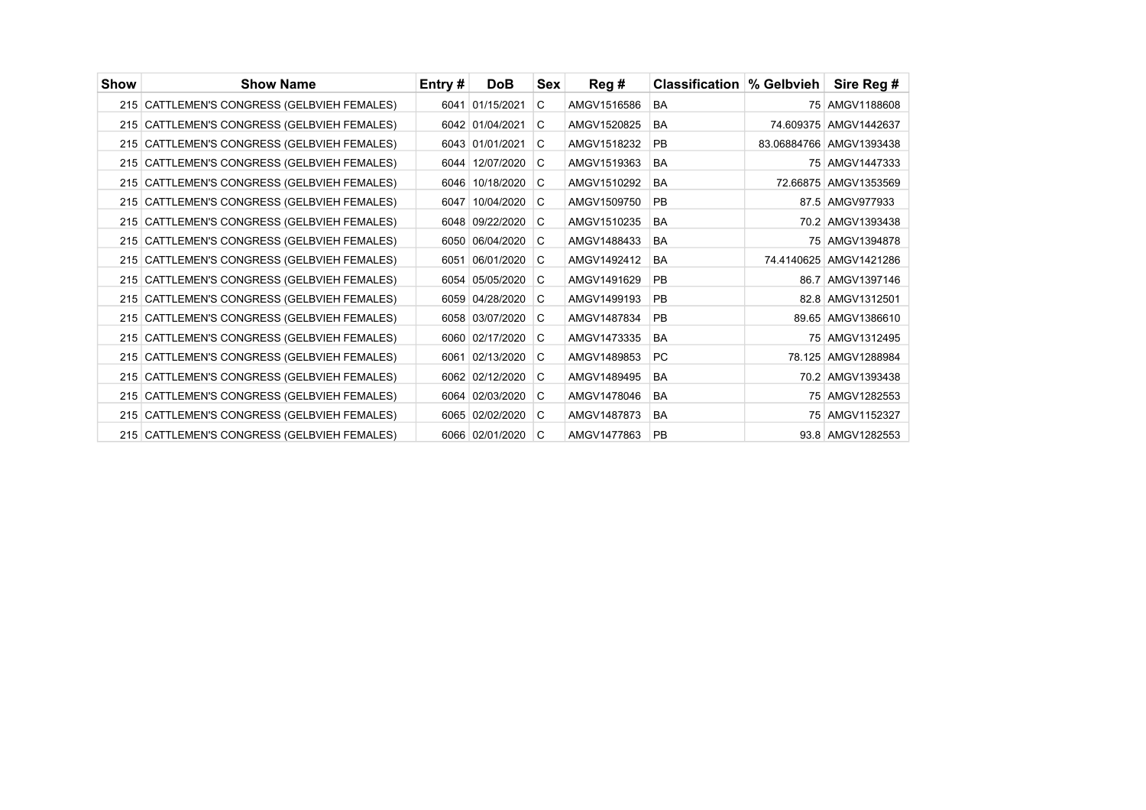| Show | <b>Show Name</b>                            | Entry# | <b>DoB</b>      | Sex | Reg#        | <b>Classification  % Gelbvieh</b> | Sire Reg #              |
|------|---------------------------------------------|--------|-----------------|-----|-------------|-----------------------------------|-------------------------|
|      | 215 CATTLEMEN'S CONGRESS (GELBVIEH FEMALES) |        | 6041 01/15/2021 | C   | AMGV1516586 | <b>BA</b>                         | 75 AMGV1188608          |
|      | 215 CATTLEMEN'S CONGRESS (GELBVIEH FEMALES) |        | 6042 01/04/2021 | C   | AMGV1520825 | <b>BA</b>                         | 74.609375 AMGV1442637   |
|      | 215 CATTLEMEN'S CONGRESS (GELBVIEH FEMALES) |        | 6043 01/01/2021 | C   | AMGV1518232 | <b>PB</b>                         | 83.06884766 AMGV1393438 |
|      | 215 CATTLEMEN'S CONGRESS (GELBVIEH FEMALES) |        | 6044 12/07/2020 | C   | AMGV1519363 | <b>BA</b>                         | 75 AMGV1447333          |
|      | 215 CATTLEMEN'S CONGRESS (GELBVIEH FEMALES) |        | 6046 10/18/2020 | C   | AMGV1510292 | <b>BA</b>                         | 72.66875 AMGV1353569    |
|      | 215 CATTLEMEN'S CONGRESS (GELBVIEH FEMALES) | 6047   | 10/04/2020      | C   | AMGV1509750 | <b>PB</b>                         | 87.5 AMGV977933         |
|      | 215 CATTLEMEN'S CONGRESS (GELBVIEH FEMALES) |        | 6048 09/22/2020 | C.  | AMGV1510235 | <b>BA</b>                         | 70.2 AMGV1393438        |
|      | 215 CATTLEMEN'S CONGRESS (GELBVIEH FEMALES) |        | 6050 06/04/2020 | C.  | AMGV1488433 | <b>BA</b>                         | 75 AMGV1394878          |
|      | 215 CATTLEMEN'S CONGRESS (GELBVIEH FEMALES) | 6051   | 06/01/2020      | C.  | AMGV1492412 | <b>BA</b>                         | 74.4140625 AMGV1421286  |
|      | 215 CATTLEMEN'S CONGRESS (GELBVIEH FEMALES) |        | 6054 05/05/2020 | C.  | AMGV1491629 | PB                                | 86.7 AMGV1397146        |
|      | 215 CATTLEMEN'S CONGRESS (GELBVIEH FEMALES) |        | 6059 04/28/2020 | C   | AMGV1499193 | <b>PB</b>                         | 82.8 AMGV1312501        |
|      | 215 CATTLEMEN'S CONGRESS (GELBVIEH FEMALES) |        | 6058 03/07/2020 | C   | AMGV1487834 | PB                                | 89.65 AMGV1386610       |
|      | 215 CATTLEMEN'S CONGRESS (GELBVIEH FEMALES) |        | 6060 02/17/2020 | C   | AMGV1473335 | <b>BA</b>                         | 75 AMGV1312495          |
|      | 215 CATTLEMEN'S CONGRESS (GELBVIEH FEMALES) |        | 6061 02/13/2020 | C.  | AMGV1489853 | <b>PC</b>                         | 78.125 AMGV1288984      |
|      | 215 CATTLEMEN'S CONGRESS (GELBVIEH FEMALES) |        | 6062 02/12/2020 | C   | AMGV1489495 | <b>BA</b>                         | 70.2 AMGV1393438        |
|      | 215 CATTLEMEN'S CONGRESS (GELBVIEH FEMALES) |        | 6064 02/03/2020 | C.  | AMGV1478046 | <b>BA</b>                         | 75 AMGV1282553          |
|      | 215 CATTLEMEN'S CONGRESS (GELBVIEH FEMALES) |        | 6065 02/02/2020 | C   | AMGV1487873 | <b>BA</b>                         | 75 AMGV1152327          |
|      | 215 CATTLEMEN'S CONGRESS (GELBVIEH FEMALES) |        | 6066 02/01/2020 | C   | AMGV1477863 | PB                                | 93.8 AMGV1282553        |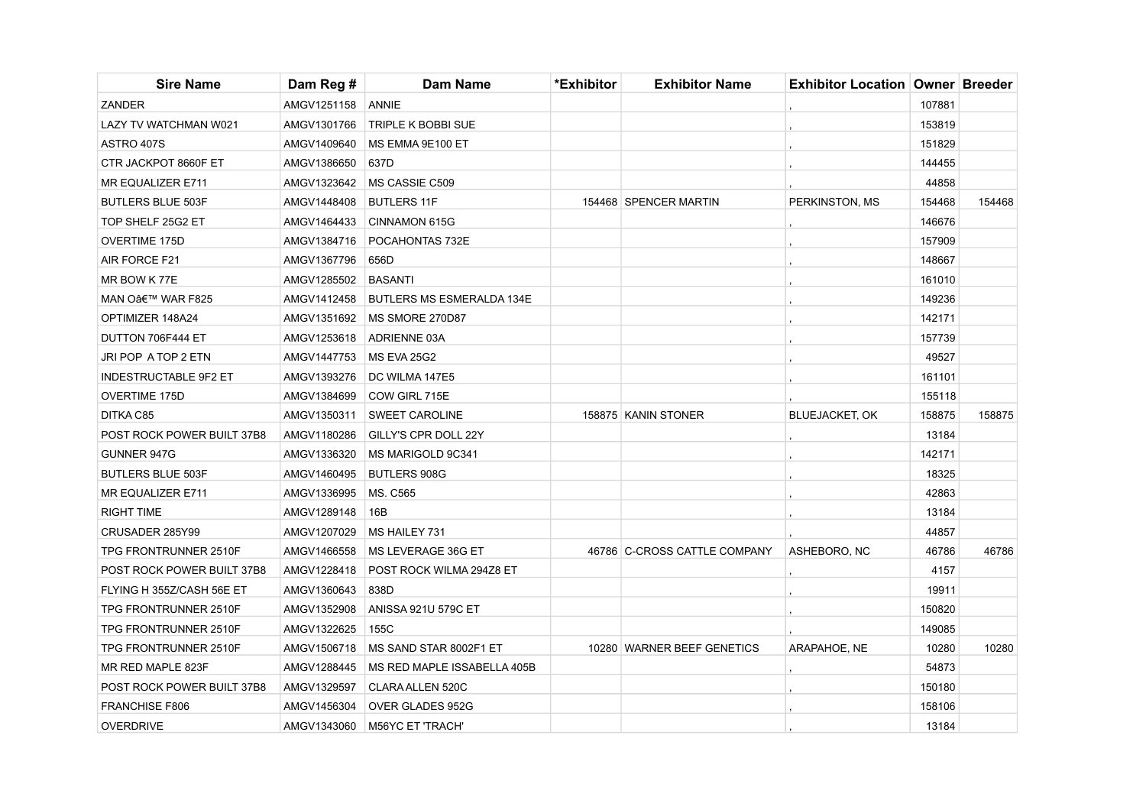| <b>Sire Name</b>             | Dam Reg #   | <b>Dam Name</b>             | *Exhibitor | <b>Exhibitor Name</b>        | <b>Exhibitor Location Owner Breeder</b> |        |        |
|------------------------------|-------------|-----------------------------|------------|------------------------------|-----------------------------------------|--------|--------|
| <b>ZANDER</b>                | AMGV1251158 | ANNIE                       |            |                              |                                         | 107881 |        |
| LAZY TV WATCHMAN W021        | AMGV1301766 | <b>TRIPLE K BOBBI SUE</b>   |            |                              |                                         | 153819 |        |
| ASTRO 407S                   | AMGV1409640 | MS EMMA 9E100 ET            |            |                              |                                         | 151829 |        |
| CTR JACKPOT 8660F ET         | AMGV1386650 | 637D                        |            |                              |                                         | 144455 |        |
| MR EQUALIZER E711            | AMGV1323642 | MS CASSIE C509              |            |                              |                                         | 44858  |        |
| <b>BUTLERS BLUE 503F</b>     | AMGV1448408 | <b>BUTLERS 11F</b>          |            | 154468 SPENCER MARTIN        | PERKINSTON, MS                          | 154468 | 154468 |
| TOP SHELF 25G2 ET            | AMGV1464433 | CINNAMON 615G               |            |                              |                                         | 146676 |        |
| OVERTIME 175D                | AMGV1384716 | POCAHONTAS 732E             |            |                              |                                         | 157909 |        |
| AIR FORCE F21                | AMGV1367796 | 656D                        |            |                              |                                         | 148667 |        |
| MR BOW K77E                  | AMGV1285502 | BASANTI                     |            |                              |                                         | 161010 |        |
| MAN O' WAR F825              | AMGV1412458 | BUTLERS MS ESMERALDA 134E   |            |                              |                                         | 149236 |        |
| OPTIMIZER 148A24             | AMGV1351692 | MS SMORE 270D87             |            |                              |                                         | 142171 |        |
| DUTTON 706F444 ET            | AMGV1253618 | <b>ADRIENNE 03A</b>         |            |                              |                                         | 157739 |        |
| JRI POP A TOP 2 ETN          | AMGV1447753 | MS EVA 25G2                 |            |                              |                                         | 49527  |        |
| <b>INDESTRUCTABLE 9F2 ET</b> | AMGV1393276 | DC WILMA 147E5              |            |                              |                                         | 161101 |        |
| <b>OVERTIME 175D</b>         | AMGV1384699 | COW GIRL 715E               |            |                              |                                         | 155118 |        |
| DITKA C85                    | AMGV1350311 | <b>SWEET CAROLINE</b>       |            | 158875 KANIN STONER          | <b>BLUEJACKET, OK</b>                   | 158875 | 158875 |
| POST ROCK POWER BUILT 37B8   | AMGV1180286 | <b>GILLY'S CPR DOLL 22Y</b> |            |                              |                                         | 13184  |        |
| GUNNER 947G                  | AMGV1336320 | MS MARIGOLD 9C341           |            |                              |                                         | 142171 |        |
| <b>BUTLERS BLUE 503F</b>     | AMGV1460495 | <b>BUTLERS 908G</b>         |            |                              |                                         | 18325  |        |
| MR EQUALIZER E711            | AMGV1336995 | MS. C565                    |            |                              |                                         | 42863  |        |
| <b>RIGHT TIME</b>            | AMGV1289148 | 16B                         |            |                              |                                         | 13184  |        |
| CRUSADER 285Y99              | AMGV1207029 | MS HAILEY 731               |            |                              |                                         | 44857  |        |
| TPG FRONTRUNNER 2510F        | AMGV1466558 | MS LEVERAGE 36G ET          |            | 46786 C-CROSS CATTLE COMPANY | ASHEBORO, NC                            | 46786  | 46786  |
| POST ROCK POWER BUILT 37B8   | AMGV1228418 | POST ROCK WILMA 294Z8 ET    |            |                              |                                         | 4157   |        |
| FLYING H 355Z/CASH 56E ET    | AMGV1360643 | 838D                        |            |                              |                                         | 19911  |        |
| TPG FRONTRUNNER 2510F        | AMGV1352908 | <b>ANISSA 921U 579C ET</b>  |            |                              |                                         | 150820 |        |
| TPG FRONTRUNNER 2510F        | AMGV1322625 | 155C                        |            |                              |                                         | 149085 |        |
| TPG FRONTRUNNER 2510F        | AMGV1506718 | MS SAND STAR 8002F1 ET      |            | 10280 WARNER BEEF GENETICS   | ARAPAHOE, NE                            | 10280  | 10280  |
| MR RED MAPLE 823F            | AMGV1288445 | MS RED MAPLE ISSABELLA 405B |            |                              |                                         | 54873  |        |
| POST ROCK POWER BUILT 37B8   | AMGV1329597 | CLARA ALLEN 520C            |            |                              |                                         | 150180 |        |
| FRANCHISE F806               | AMGV1456304 | OVER GLADES 952G            |            |                              |                                         | 158106 |        |
| <b>OVERDRIVE</b>             | AMGV1343060 | <b>M56YC ET 'TRACH'</b>     |            |                              |                                         | 13184  |        |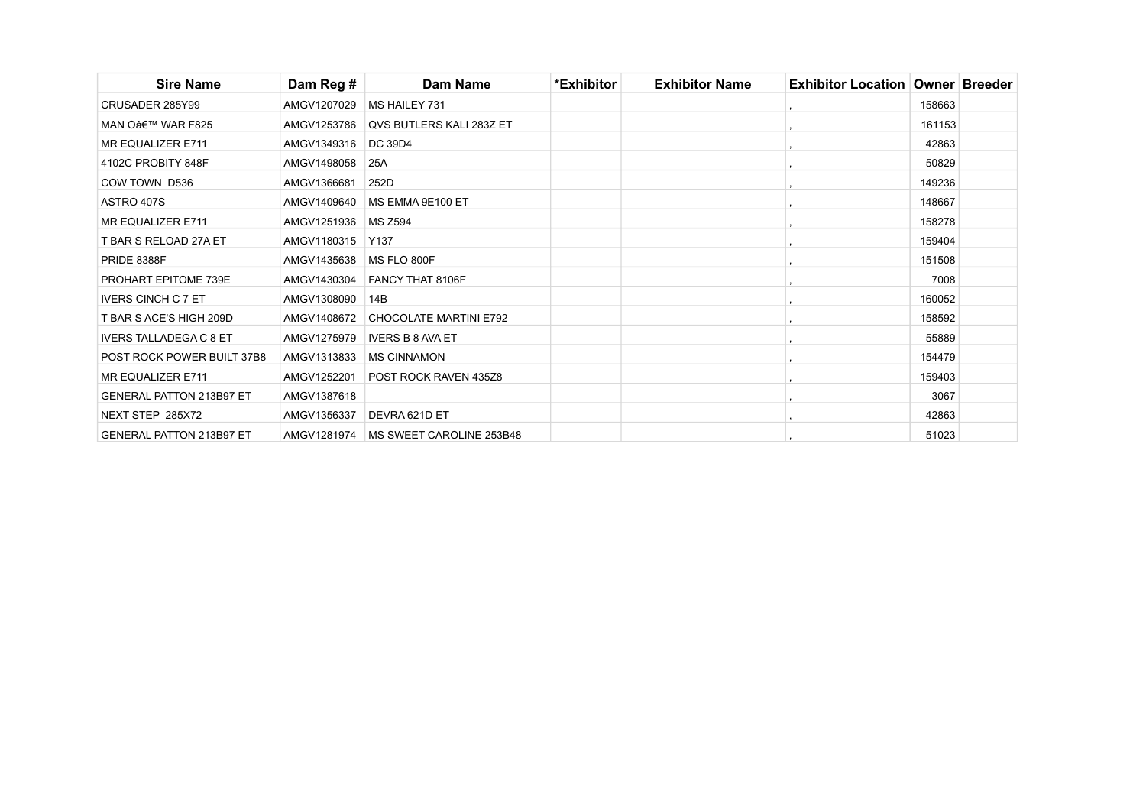| <b>Sire Name</b>                | Dam Reg #   | Dam Name                               | *Exhibitor | <b>Exhibitor Name</b> | <b>Exhibitor Location   Owner   Breeder</b> |        |  |
|---------------------------------|-------------|----------------------------------------|------------|-----------------------|---------------------------------------------|--------|--|
| CRUSADER 285Y99                 | AMGV1207029 | <b>MS HAILEY 731</b>                   |            |                       |                                             | 158663 |  |
| MAN O' WAR F825                 | AMGV1253786 | <b>QVS BUTLERS KALI 283Z ET</b>        |            |                       |                                             | 161153 |  |
| <b>MR EQUALIZER E711</b>        | AMGV1349316 | <b>DC 39D4</b>                         |            |                       |                                             | 42863  |  |
| 4102C PROBITY 848F              | AMGV1498058 | 25A                                    |            |                       |                                             | 50829  |  |
| COW TOWN D536                   | AMGV1366681 | 252D                                   |            |                       |                                             | 149236 |  |
| ASTRO 407S                      | AMGV1409640 | MS EMMA 9E100 ET                       |            |                       |                                             | 148667 |  |
| MR EQUALIZER E711               | AMGV1251936 | <b>MS Z594</b>                         |            |                       |                                             | 158278 |  |
| T BAR S RELOAD 27A ET           | AMGV1180315 | Y137                                   |            |                       |                                             | 159404 |  |
| <b>PRIDE 8388F</b>              | AMGV1435638 | MS FLO 800F                            |            |                       |                                             | 151508 |  |
| PROHART EPITOME 739E            | AMGV1430304 | FANCY THAT 8106F                       |            |                       |                                             | 7008   |  |
| <b>IVERS CINCH C 7 ET</b>       | AMGV1308090 | 14B                                    |            |                       |                                             | 160052 |  |
| T BAR S ACE'S HIGH 209D         | AMGV1408672 | <b>CHOCOLATE MARTINI E792</b>          |            |                       |                                             | 158592 |  |
| <b>IVERS TALLADEGA C 8 ET</b>   | AMGV1275979 | <b>IVERS B 8 AVA ET</b>                |            |                       |                                             | 55889  |  |
| POST ROCK POWER BUILT 37B8      | AMGV1313833 | <b>MS CINNAMON</b>                     |            |                       |                                             | 154479 |  |
| MR EQUALIZER E711               | AMGV1252201 | <b>POST ROCK RAVEN 435Z8</b>           |            |                       |                                             | 159403 |  |
| <b>GENERAL PATTON 213B97 ET</b> | AMGV1387618 |                                        |            |                       |                                             | 3067   |  |
| NEXT STEP 285X72                | AMGV1356337 | DEVRA 621D ET                          |            |                       |                                             | 42863  |  |
| <b>GENERAL PATTON 213B97 ET</b> |             | AMGV1281974   MS SWEET CAROLINE 253B48 |            |                       |                                             | 51023  |  |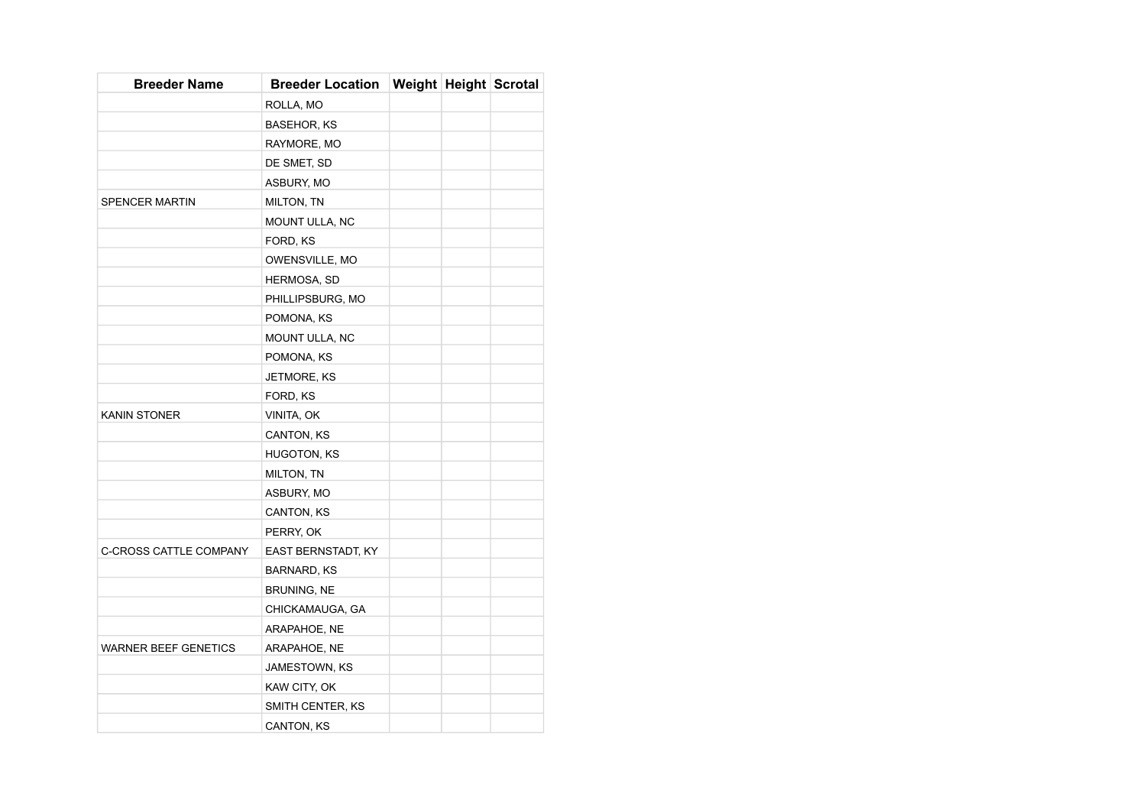| <b>Breeder Name</b>           | <b>Breeder Location</b> | <b>Weight Height Scrotal</b> |  |
|-------------------------------|-------------------------|------------------------------|--|
|                               | ROLLA, MO               |                              |  |
|                               | <b>BASEHOR, KS</b>      |                              |  |
|                               | RAYMORE, MO             |                              |  |
|                               | DE SMET, SD             |                              |  |
|                               | ASBURY, MO              |                              |  |
| <b>SPENCER MARTIN</b>         | MILTON, TN              |                              |  |
|                               | MOUNT ULLA, NC          |                              |  |
|                               | FORD, KS                |                              |  |
|                               | OWENSVILLE, MO          |                              |  |
|                               | <b>HERMOSA, SD</b>      |                              |  |
|                               | PHILLIPSBURG, MO        |                              |  |
|                               | POMONA, KS              |                              |  |
|                               | MOUNT ULLA, NC          |                              |  |
|                               | POMONA, KS              |                              |  |
|                               | JETMORE, KS             |                              |  |
|                               | FORD, KS                |                              |  |
| <b>KANIN STONER</b>           | VINITA, OK              |                              |  |
|                               | CANTON, KS              |                              |  |
|                               | <b>HUGOTON, KS</b>      |                              |  |
|                               | MILTON, TN              |                              |  |
|                               | ASBURY, MO              |                              |  |
|                               | CANTON, KS              |                              |  |
|                               | PERRY, OK               |                              |  |
| <b>C-CROSS CATTLE COMPANY</b> | EAST BERNSTADT, KY      |                              |  |
|                               | BARNARD, KS             |                              |  |
|                               | BRUNING, NE             |                              |  |
|                               | CHICKAMAUGA, GA         |                              |  |
|                               | ARAPAHOE, NE            |                              |  |
| <b>WARNER BEEF GENETICS</b>   | ARAPAHOE, NE            |                              |  |
|                               | JAMESTOWN, KS           |                              |  |
|                               | KAW CITY, OK            |                              |  |
|                               | SMITH CENTER, KS        |                              |  |
|                               | CANTON, KS              |                              |  |